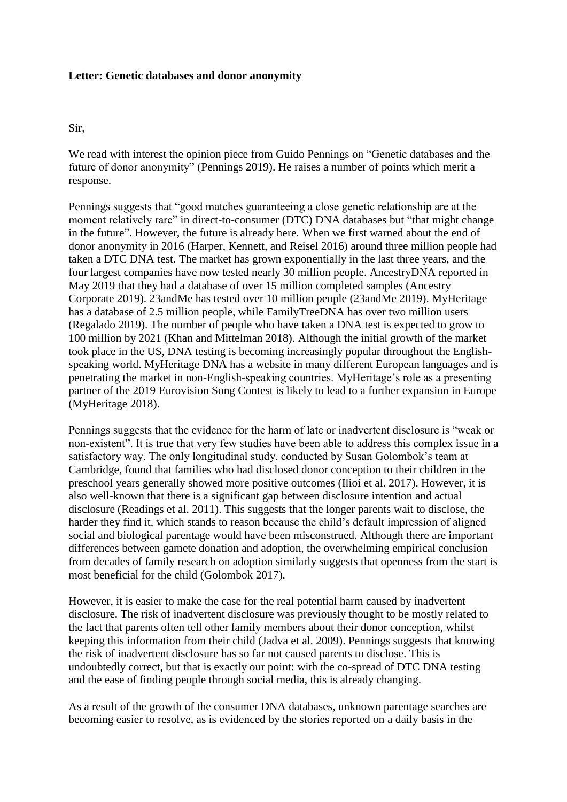### **Letter: Genetic databases and donor anonymity**

### Sir,

We read with interest the opinion piece from Guido Pennings on "Genetic databases and the future of donor anonymity" (Pennings 2019). He raises a number of points which merit a response.

Pennings suggests that "good matches guaranteeing a close genetic relationship are at the moment relatively rare" in direct-to-consumer (DTC) DNA databases but "that might change in the future". However, the future is already here. When we first warned about the end of donor anonymity in 2016 (Harper, Kennett, and Reisel 2016) around three million people had taken a DTC DNA test. The market has grown exponentially in the last three years, and the four largest companies have now tested nearly 30 million people. AncestryDNA reported in May 2019 that they had a database of over 15 million completed samples (Ancestry Corporate 2019). 23andMe has tested over 10 million people (23andMe 2019). MyHeritage has a database of 2.5 million people, while FamilyTreeDNA has over two million users (Regalado 2019). The number of people who have taken a DNA test is expected to grow to 100 million by 2021 (Khan and Mittelman 2018). Although the initial growth of the market took place in the US, DNA testing is becoming increasingly popular throughout the Englishspeaking world. MyHeritage DNA has a website in many different European languages and is penetrating the market in non-English-speaking countries. MyHeritage's role as a presenting partner of the 2019 Eurovision Song Contest is likely to lead to a further expansion in Europe (MyHeritage 2018).

Pennings suggests that the evidence for the harm of late or inadvertent disclosure is "weak or non-existent". It is true that very few studies have been able to address this complex issue in a satisfactory way. The only longitudinal study, conducted by Susan Golombok's team at Cambridge, found that families who had disclosed donor conception to their children in the preschool years generally showed more positive outcomes (Ilioi et al. 2017). However, it is also well-known that there is a significant gap between disclosure intention and actual disclosure (Readings et al. 2011). This suggests that the longer parents wait to disclose, the harder they find it, which stands to reason because the child's default impression of aligned social and biological parentage would have been misconstrued. Although there are important differences between gamete donation and adoption, the overwhelming empirical conclusion from decades of family research on adoption similarly suggests that openness from the start is most beneficial for the child (Golombok 2017).

However, it is easier to make the case for the real potential harm caused by inadvertent disclosure. The risk of inadvertent disclosure was previously thought to be mostly related to the fact that parents often tell other family members about their donor conception, whilst keeping this information from their child (Jadva et al. 2009). Pennings suggests that knowing the risk of inadvertent disclosure has so far not caused parents to disclose. This is undoubtedly correct, but that is exactly our point: with the co-spread of DTC DNA testing and the ease of finding people through social media, this is already changing.

As a result of the growth of the consumer DNA databases, unknown parentage searches are becoming easier to resolve, as is evidenced by the stories reported on a daily basis in the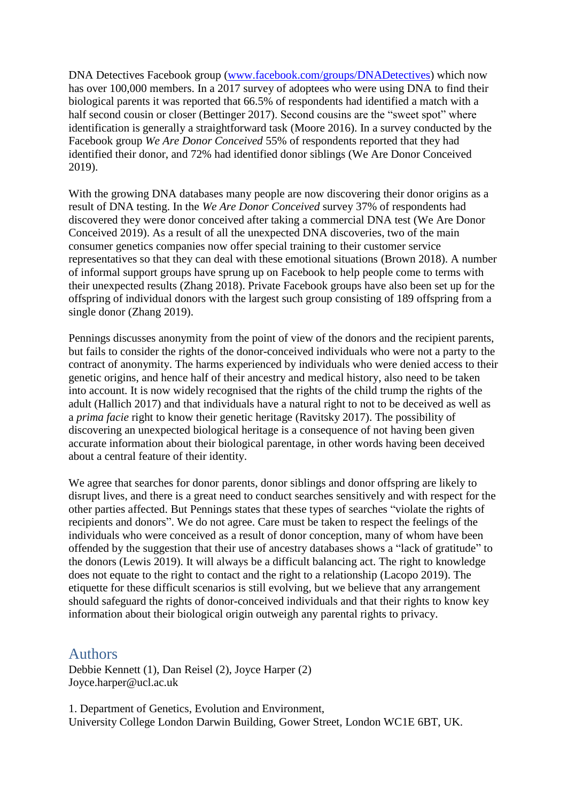DNA Detectives Facebook group [\(www.facebook.com/groups/DNADetectives\)](https://www.facebook.com/groups/DNADetectives/) which now has over 100,000 members. In a 2017 survey of adoptees who were using DNA to find their biological parents it was reported that 66.5% of respondents had identified a match with a half second cousin or closer (Bettinger 2017). Second cousins are the "sweet spot" where identification is generally a straightforward task (Moore 2016). In a survey conducted by the Facebook group *We Are Donor Conceived* 55% of respondents reported that they had identified their donor, and 72% had identified donor siblings (We Are Donor Conceived 2019).

With the growing DNA databases many people are now discovering their donor origins as a result of DNA testing. In the *We Are Donor Conceived* survey 37% of respondents had discovered they were donor conceived after taking a commercial DNA test (We Are Donor Conceived 2019). As a result of all the unexpected DNA discoveries, two of the main consumer genetics companies now offer special training to their customer service representatives so that they can deal with these emotional situations (Brown 2018). A number of informal support groups have sprung up on Facebook to help people come to terms with their unexpected results (Zhang 2018). Private Facebook groups have also been set up for the offspring of individual donors with the largest such group consisting of 189 offspring from a single donor (Zhang 2019).

Pennings discusses anonymity from the point of view of the donors and the recipient parents, but fails to consider the rights of the donor-conceived individuals who were not a party to the contract of anonymity. The harms experienced by individuals who were denied access to their genetic origins, and hence half of their ancestry and medical history, also need to be taken into account. It is now widely recognised that the rights of the child trump the rights of the adult (Hallich 2017) and that individuals have a natural right to not to be deceived as well as a *prima facie* right to know their genetic heritage (Ravitsky 2017). The possibility of discovering an unexpected biological heritage is a consequence of not having been given accurate information about their biological parentage, in other words having been deceived about a central feature of their identity.

We agree that searches for donor parents, donor siblings and donor offspring are likely to disrupt lives, and there is a great need to conduct searches sensitively and with respect for the other parties affected. But Pennings states that these types of searches "violate the rights of recipients and donors". We do not agree. Care must be taken to respect the feelings of the individuals who were conceived as a result of donor conception, many of whom have been offended by the suggestion that their use of ancestry databases shows a "lack of gratitude" to the donors (Lewis 2019). It will always be a difficult balancing act. The right to knowledge does not equate to the right to contact and the right to a relationship (Lacopo 2019). The etiquette for these difficult scenarios is still evolving, but we believe that any arrangement should safeguard the rights of donor-conceived individuals and that their rights to know key information about their biological origin outweigh any parental rights to privacy.

## Authors

Debbie Kennett (1), Dan Reisel (2), Joyce Harper (2) Joyce.harper@ucl.ac.uk

1. Department of Genetics, Evolution and Environment, University College London Darwin Building, Gower Street, London WC1E 6BT, UK.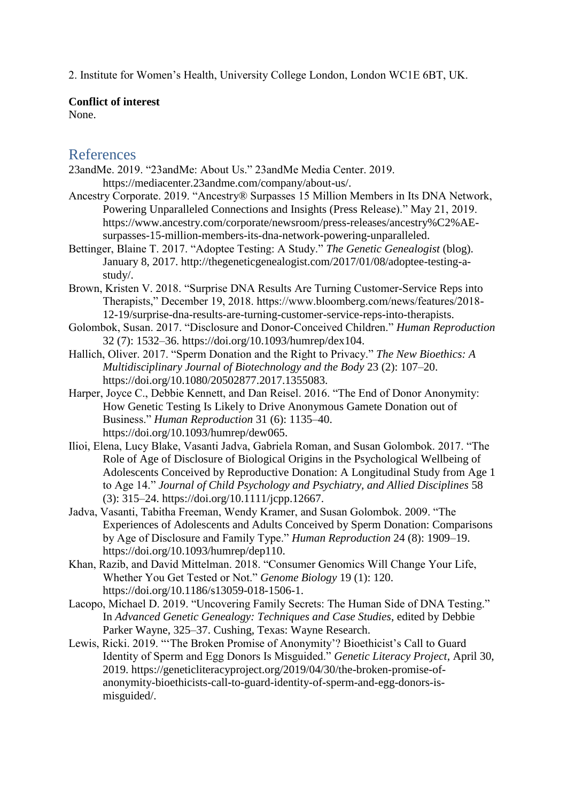2. Institute for Women's Health, University College London, London WC1E 6BT, UK.

#### **Conflict of interest**

None.

# References

- 23andMe. 2019. "23andMe: About Us." 23andMe Media Center. 2019. https://mediacenter.23andme.com/company/about-us/.
- Ancestry Corporate. 2019. "Ancestry® Surpasses 15 Million Members in Its DNA Network, Powering Unparalleled Connections and Insights (Press Release)." May 21, 2019. https://www.ancestry.com/corporate/newsroom/press-releases/ancestry%C2%AEsurpasses-15-million-members-its-dna-network-powering-unparalleled.
- Bettinger, Blaine T. 2017. "Adoptee Testing: A Study." *The Genetic Genealogist* (blog). January 8, 2017. http://thegeneticgenealogist.com/2017/01/08/adoptee-testing-astudy/.
- Brown, Kristen V. 2018. "Surprise DNA Results Are Turning Customer-Service Reps into Therapists," December 19, 2018. https://www.bloomberg.com/news/features/2018- 12-19/surprise-dna-results-are-turning-customer-service-reps-into-therapists.
- Golombok, Susan. 2017. "Disclosure and Donor-Conceived Children." *Human Reproduction* 32 (7): 1532–36. https://doi.org/10.1093/humrep/dex104.
- Hallich, Oliver. 2017. "Sperm Donation and the Right to Privacy." *The New Bioethics: A Multidisciplinary Journal of Biotechnology and the Body* 23 (2): 107–20. https://doi.org/10.1080/20502877.2017.1355083.
- Harper, Joyce C., Debbie Kennett, and Dan Reisel. 2016. "The End of Donor Anonymity: How Genetic Testing Is Likely to Drive Anonymous Gamete Donation out of Business." *Human Reproduction* 31 (6): 1135–40. https://doi.org/10.1093/humrep/dew065.
- Ilioi, Elena, Lucy Blake, Vasanti Jadva, Gabriela Roman, and Susan Golombok. 2017. "The Role of Age of Disclosure of Biological Origins in the Psychological Wellbeing of Adolescents Conceived by Reproductive Donation: A Longitudinal Study from Age 1 to Age 14." *Journal of Child Psychology and Psychiatry, and Allied Disciplines* 58 (3): 315–24. https://doi.org/10.1111/jcpp.12667.
- Jadva, Vasanti, Tabitha Freeman, Wendy Kramer, and Susan Golombok. 2009. "The Experiences of Adolescents and Adults Conceived by Sperm Donation: Comparisons by Age of Disclosure and Family Type." *Human Reproduction* 24 (8): 1909–19. https://doi.org/10.1093/humrep/dep110.
- Khan, Razib, and David Mittelman. 2018. "Consumer Genomics Will Change Your Life, Whether You Get Tested or Not." *Genome Biology* 19 (1): 120. https://doi.org/10.1186/s13059-018-1506-1.
- Lacopo, Michael D. 2019. "Uncovering Family Secrets: The Human Side of DNA Testing." In *Advanced Genetic Genealogy: Techniques and Case Studies*, edited by Debbie Parker Wayne, 325–37. Cushing, Texas: Wayne Research.
- Lewis, Ricki. 2019. "'The Broken Promise of Anonymity'? Bioethicist's Call to Guard Identity of Sperm and Egg Donors Is Misguided." *Genetic Literacy Project*, April 30, 2019. https://geneticliteracyproject.org/2019/04/30/the-broken-promise-ofanonymity-bioethicists-call-to-guard-identity-of-sperm-and-egg-donors-ismisguided/.